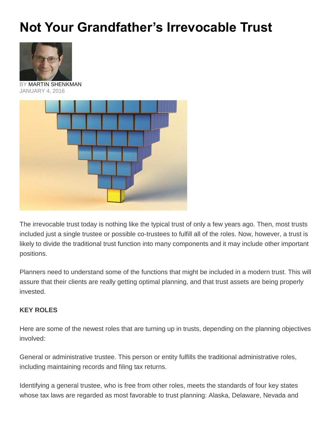## **Not Your Grandfather's Irrevocable Trust**



BY [MARTIN SHENKMAN](http://www.financial-planning.com/article_listings/martin-shenkman-185.html) JANUARY 4, 2016



The irrevocable trust today is nothing like the typical trust of only a few years ago. Then, most trusts included just a single trustee or possible co-trustees to fulfill all of the roles. Now, however, a trust is likely to divide the traditional trust function into many components and it may include other important positions.

Planners need to understand some of the functions that might be included in a modern trust. This will assure that their clients are really getting optimal planning, and that trust assets are being properly invested.

## **KEY ROLES**

Here are some of the newest roles that are turning up in trusts, depending on the planning objectives involved:

General or administrative trustee. This person or entity fulfills the traditional administrative roles, including maintaining records and filing tax returns.

Identifying a general trustee, who is free from other roles, meets the standards of four key states whose tax laws are regarded as most favorable to trust planning: Alaska, Delaware, Nevada and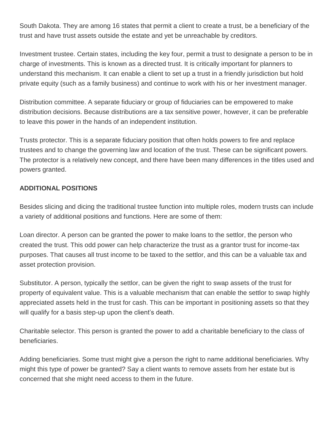South Dakota. They are among 16 states that permit a client to create a trust, be a beneficiary of the trust and have trust assets outside the estate and yet be unreachable by creditors.

Investment trustee. Certain states, including the key four, permit a trust to designate a person to be in charge of investments. This is known as a directed trust. It is critically important for planners to understand this mechanism. It can enable a client to set up a trust in a friendly jurisdiction but hold private equity (such as a family business) and continue to work with his or her investment manager.

Distribution committee. A separate fiduciary or group of fiduciaries can be empowered to make distribution decisions. Because distributions are a tax sensitive power, however, it can be preferable to leave this power in the hands of an independent institution.

Trusts protector. This is a separate fiduciary position that often holds powers to fire and replace trustees and to change the governing law and location of the trust. These can be significant powers. The protector is a relatively new concept, and there have been many differences in the titles used and powers granted.

## **ADDITIONAL POSITIONS**

Besides slicing and dicing the traditional trustee function into multiple roles, modern trusts can include a variety of additional positions and functions. Here are some of them:

Loan director. A person can be granted the power to make loans to the settlor, the person who created the trust. This odd power can help characterize the trust as a grantor trust for income-tax purposes. That causes all trust income to be taxed to the settlor, and this can be a valuable tax and asset protection provision.

Substitutor. A person, typically the settlor, can be given the right to swap assets of the trust for property of equivalent value. This is a valuable mechanism that can enable the settlor to swap highly appreciated assets held in the trust for cash. This can be important in positioning assets so that they will qualify for a basis step-up upon the client's death.

Charitable selector. This person is granted the power to add a charitable beneficiary to the class of beneficiaries.

Adding beneficiaries. Some trust might give a person the right to name additional beneficiaries. Why might this type of power be granted? Say a client wants to remove assets from her estate but is concerned that she might need access to them in the future.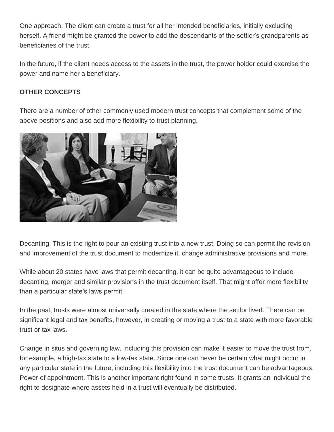One approach: The client can create a trust for all her intended beneficiaries, initially excluding herself. A friend might be granted the power to add the descendants of the settlor's grandparents as beneficiaries of the trust.

In the future, if the client needs access to the assets in the trust, the power holder could exercise the power and name her a beneficiary.

## **OTHER CONCEPTS**

There are a number of other commonly used modern trust concepts that complement some of the above positions and also add more flexibility to trust planning.



Decanting. This is the right to pour an existing trust into a new trust. Doing so can permit the revision and improvement of the trust document to modernize it, change administrative provisions and more.

While about 20 states have laws that permit decanting, it can be quite advantageous to include decanting, merger and similar provisions in the trust document itself. That might offer more flexibility than a particular state's laws permit.

In the past, trusts were almost universally created in the state where the settlor lived. There can be significant legal and tax benefits, however, in creating or moving a trust to a state with more favorable trust or tax laws.

Change in situs and governing law. Including this provision can make it easier to move the trust from, for example, a high-tax state to a low-tax state. Since one can never be certain what might occur in any particular state in the future, including this flexibility into the trust document can be advantageous. Power of appointment. This is another important right found in some trusts. It grants an individual the right to designate where assets held in a trust will eventually be distributed.